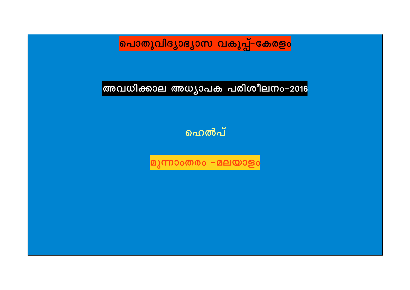<mark>പൊതുവിദ്യാഭ്യാസ വകുപ്പ്–കേരളം</mark>

അവധിക്കാല അധ്യാപക പരിശീലനം–2016

ഹെൽപ്

മൂന്നാംതരം −മലയാളം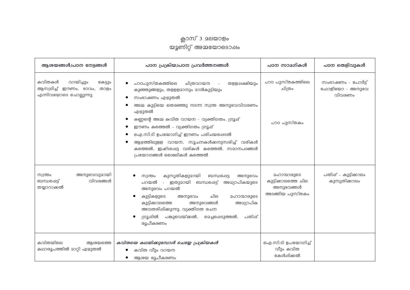## ക്ലാസ് 3 മലയാളം<br>യൂണിറ്റ് അമ്മയോടൊഷം

| ആശയങ്ങൾ/പഠന നേട്ടങ്ങൾ                                                                  | പഠന പ്രക്രിയ/പഠന പ്രവർത്തനങ്ങൾ                                                                                                                                                                                                                                                                                                                                                                                                  | പഠന സാമഗികൾ                                                               | പഠന തെളിവുകൾ                                  |
|----------------------------------------------------------------------------------------|---------------------------------------------------------------------------------------------------------------------------------------------------------------------------------------------------------------------------------------------------------------------------------------------------------------------------------------------------------------------------------------------------------------------------------|---------------------------------------------------------------------------|-----------------------------------------------|
| കവിതകൾ<br>വായിച്ചും<br>കേട്ടും<br>ആസ്വദിച്ച് ഈണം, ഭാവം, താളം<br>എന്നിവയോടെ ചൊല്ലുന്നു. | പാഠപുസ്തകത്തിലെ<br>ചിത്രവായന<br>തളളപ്പക്ഷിയും<br>$\sim 10$<br>കുഞ്ഞുങ്ങളും, തളളളമാനും മാൻകുട്ടിയും<br>സംഭാഷണം എഴുതൽ<br>അമ്മ കുട്ടിയെ തെരഞ്ഞു നടന്ന സ്വന്ത അനുഭവവിവരണം<br>എഴുതൽ<br>കണ്ണന്റെ അമ്മ കവിത വായന - വ്യക്തിഗതം, ഗ്രൂഷ്<br>ഈണം കത്തെൽ - വ്യക്തിഗതം ഗ്രൂഷ്<br>ഐ.സി.ടി ഉപയോഗിച്ച് ഈണം പരിചയപ്പെടൽ<br>ആഴത്തിലുളള വായന, സൂചനകൾക്കനുസരിച്ച് വരികൾ<br>കത്തെൽ, ഇഷ്ടപ്പെട്ട വരികൾ കത്തെൽ, സമാനപദങ്ങൾ<br>പ്രയോഗങ്ങൾ ശൈലികൾ കത്തെൽ | പാഠ പുസ്തകത്തിലെ<br>ചിത്രം<br>പാഠ പുസ്തകം                                 | സംഭാഷണം - പോർട്ട്<br>ഫോളിയോ - അനുഭവ<br>വിവരണം |
| അനുഭവവുമായി<br>സ്വന്തം<br>വിവരങ്ങൾ<br>ബന്ധപ്പെട്ട്<br>തയ്യാറാക്കൽ                      | കുസൃതികളുമായി<br>ബന്ധപ്പെട്ട<br>സ്വന്തം<br>അനുഭവം<br>പറയൽ<br>- ഇതുമായി ബന്ധപ്പെട്ട് അധ്യാപികയുടെ<br>അനുഭവം പറയൽ<br>കുട്ടികളുടെ<br>விப<br>ഛാന്മാരുടെ<br>അനുഭവം<br>കുട്ടിക്കാലത്തെ<br>അനുഭവങ്ങൾ<br>അധ്യാപിക<br>അവതരിഷിക്കുന്നു. വ്യക്തിഗത രചന<br>ഗ്രൂപ്പിൽ പങ്കുവെയ്ക്കൽ, മെച്ചപ്പെടുത്തൽ,<br>പതിപ്പ്<br>രുപീകരണം                                                                                                                 | <b>മഹാന്മാരുടെ</b><br>കുട്ടിക്കാലത്തെ ചില<br>അനുഭവങ്ങൾ<br>അടങ്ങിയ പുസ്തകം | പതിപ്പ് - കുട്ടിക്കാലം<br>കുസൃതിക്കാലം        |
| കവിതയിലെ<br>ആശയത്തെ<br>കഥാരൂപത്തിൽ മാറ്റി എഴുതൽ                                        | കവിതയെ കഥയിക്കുമ്പോൾ ചെയ്യേ പ്രക്രിയകൾ<br>കവിത വീും വായന<br>ആശയ രൂപീകരണം                                                                                                                                                                                                                                                                                                                                                        | ഐ.സി.ടി ഉപയോഗിച്ച്<br>വീും കവിത<br>കേൾപ്പിക്കൽ                            |                                               |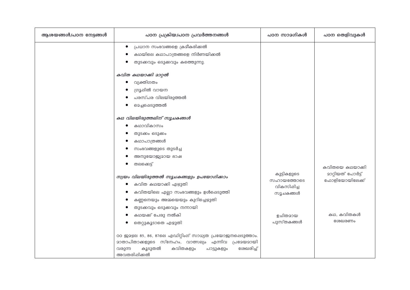| ആശയങ്ങൾ/പഠന നേട്ടങ്ങൾ | പഠന പ്രക്രിയ/പഠന പ്രവർത്തനങ്ങൾ                                                                                                                                                                                                                                                                                     | പഠന സാമഗികൾ                                           | പഠന തെളിവുകൾ                                           |
|-----------------------|--------------------------------------------------------------------------------------------------------------------------------------------------------------------------------------------------------------------------------------------------------------------------------------------------------------------|-------------------------------------------------------|--------------------------------------------------------|
|                       | പ്രധാന സംഭവങ്ങളെ ക്രമീകരിക്കൽ<br>$\bullet$<br>കഥയിലെ കഥാപാത്രങ്ങളെ നിർണയിക്കൽ<br>തുടക്കവും ഒടുക്കവും കത്തെുന്നു.<br>കവിത കഥയാക്കി മാറ്റൽ                                                                                                                                                                           |                                                       |                                                        |
|                       | വ്യക്തിഗതം<br>ഗ്രൂപ്പിൽ വായന<br>പരസ്പര വിലയിരുത്തൽ<br>മെച്ചപ്പെടുത്തൽ                                                                                                                                                                                                                                              |                                                       |                                                        |
|                       | കഥ വിലയിരുത്തലിന് സൂചകങ്ങൾ<br>കഥാവികാസം<br>തുടക്കം ഒടുക്കം<br>കഥാപാത്രങ്ങൾ<br>സംഭവങ്ങളുടെ തുടർച്ച<br>അനുയോജ്യമായ ഭാഷ<br>തലക്കെട്ട്<br>സ്വയം വിലയിരുത്തൽ സൂചകങ്ങളും ഉപയോഗിക്കാം<br>കവിത കഥയാക്കി എഴുതി<br>കവിതയിലെ എല്ലാ സംഭവങ്ങളും ഉൾപ്പെടുത്തി<br>കണ്ണനെയും അമ്മയെയും കുറിച്ചെഴുതി<br>തുടക്കവും ഒടുക്കവും നന്നായി | കുട്ടികളുടെ<br>സഹായത്തോടെ<br>വികസിപ്പിച്ച<br>സൂചകങ്ങൾ | കവിതയെ കഥയാക്കി<br>മാറ്റിയത് പോർട്ട്<br>ഫോളിയോയിലേക്ക് |
|                       | കഥയക്ക് പേരു നൽകി<br>തെറ്റുകൂടാതെ എഴുതി<br>00 ജാഴല 85, 86, 87ലെ എഡിറ്റിംഗ് സാധ്യത പ്രയോജനപ്പെടുത്താം.<br><u>മാതാപിതാക്കളുടെ സ്നേഹം, വാത്സല്യം എന്നിവ പ്രമേയമായി</u><br>കവിതകളും<br>ശേഖരിച്ച്<br>വരുന്ന<br>കുടുതൽ<br>പാട്ടുകളും<br>അവതരിപ്പിക്കൽ                                                                    | ഉചിതമായ<br>പുസ്തകങ്ങൾ                                 | കഥ, കവിതകൾ<br>ശേഖരണം                                   |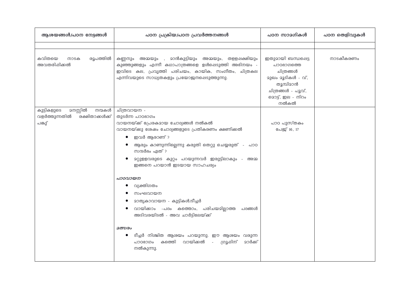| ആശയങ്ങൾ/പഠന നേട്ടങ്ങൾ                                                                 | പഠന പ്രക്രിയ/പഠന പ്രവർത്തനങ്ങൾ                                                                                                                                                                                                                                                                                                                                                                                                                                                                                                                                                                                         | പഠന സാമഗികൾ                                                                                                                      | പഠന തെളിവുകൾ |
|---------------------------------------------------------------------------------------|------------------------------------------------------------------------------------------------------------------------------------------------------------------------------------------------------------------------------------------------------------------------------------------------------------------------------------------------------------------------------------------------------------------------------------------------------------------------------------------------------------------------------------------------------------------------------------------------------------------------|----------------------------------------------------------------------------------------------------------------------------------|--------------|
|                                                                                       |                                                                                                                                                                                                                                                                                                                                                                                                                                                                                                                                                                                                                        |                                                                                                                                  |              |
| കവിതയെ<br>രൂപത്തിൽ<br>നാടക<br>അവതരിപ്പിക്കൽ                                           | <b>മാൻകുട്ടിയും അമ്മയും, തളള</b> ഷക്ഷിയും<br>കണ്ണനും അമ്മയും ,<br>കുഞ്ഞുങ്ങളും എന്നീ കഥാപാത്രങ്ങളെ ഉൾപ്പെടുത്തി അഭിനയം -<br>ഇവിടെ കല, പ്രവൃത്തി പരിചയം, കായിക, സംഗീതം, ചിത്രകല<br>എന്നിവയുടെ സാധ്യതകളും പ്രയോജനപ്പെടുത്തുന്നു.                                                                                                                                                                                                                                                                                                                                                                                         | ഇതുമായി ബന്ധഷെട്ട<br>പാഠഭാഗത്തെ<br>ചിത്രങ്ങൾ<br>23ഖം 23ടികൾ - വ്,<br>തൂമ്പിമാൻ<br>ചിത്രങ്ങൾ - പൂവ്,<br>മൊട്ട്, ഇല - നിറം<br>നൽകൽ | നാടകീകരണം    |
| <b>മനസ്സിൽ</b><br>കുട്ടികളുടെ<br>നന്മകൾ<br>രക്ഷിതാക്കൾക്ക്<br>വളർത്തുന്നതിൽ<br>പങ്കു് | ചിത്രവായന -<br>തുടർന്ന പാഠഭാഗം<br>വായനയ്ക്ക് പ്രേരകമായ ചോദ്യങ്ങൾ നൽകൽ<br>വായനയ്ക്കു ശേഷം ചോദ്യങ്ങളുടെ പ്രതികരണം ക്ഷണിക്കൽ<br>ഇവർ ആരാണ് ?<br>ആരും കാണുന്നില്ലെന്നു കരുതി തെറ്റു ചെയ്യരുത് - പാഠ<br>സന്ദർഭം ഏത് ?<br>മറ്റുളളവരുടെ കുറ്റം പറയുന്നവർ ഇരുട്ടിലാകും - അമ്മ<br>ഇങ്ങനെ പറയാൻ ഇടയായ സാഹചര്യം<br>പാഠവായന<br>വ്യക്തിഗതം<br>സംഘവായന<br>മാതൃകാവായന - കുട്ടികൾ/ടീച്ചർ<br>വായിക്കാം -പദം കത്തൊം, പരിചയമില്ലാത്ത പദങ്ങൾ<br>അടിവരയിടൽ - അവ ചാർട്ടിലേയ്ക്ക്<br>ഛസരം<br>ടീച്ചർ നിശ്ചിത ആശയം പറയുന്നു. ഈ ആശയം വരുന്ന<br>കത്തെി വായിക്കൽ<br>ഗ്രൂപ്പിന്<br><b>മാർക്ക്</b><br>പാഠഭാഗം<br>$\sim 100$ km s $^{-1}$<br>നൽകുന്നു. | പാഠ പുസ്തകം<br>പേജ് 16, 17                                                                                                       |              |